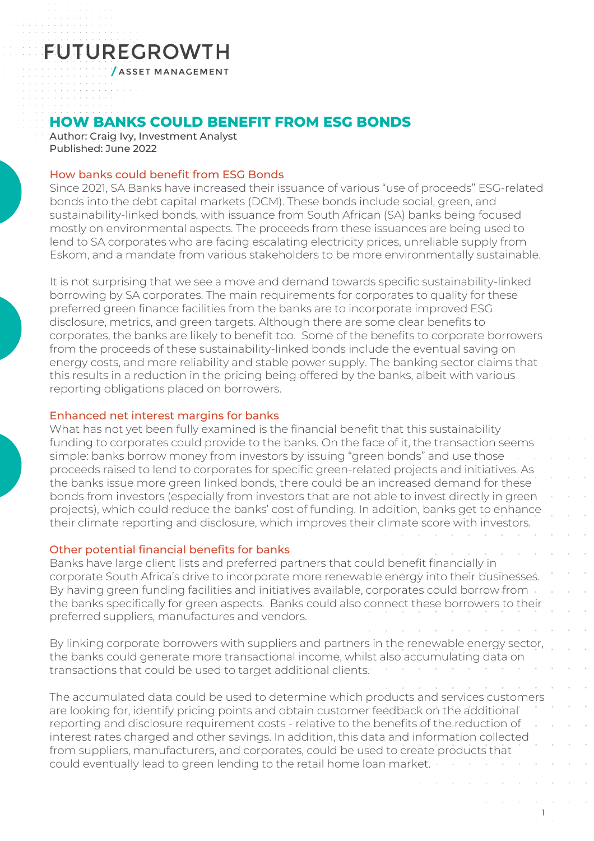# **FUTUREGROWTH**

**/ASSET MANAGEMENT** 

### **HOW BANKS COULD BENEFIT FROM ESG BONDS**

Author: Craig Ivy, Investment Analyst Published: June 2022

#### How banks could benefit from ESG Bonds

Since 2021, SA Banks have increased their issuance of various "use of proceeds" ESG-related bonds into the debt capital markets (DCM). These bonds include social, green, and sustainability-linked bonds, with issuance from South African (SA) banks being focused mostly on environmental aspects. The proceeds from these issuances are being used to lend to SA corporates who are facing escalating electricity prices, unreliable supply from Eskom, and a mandate from various stakeholders to be more environmentally sustainable.

It is not surprising that we see a move and demand towards specific sustainability-linked borrowing by SA corporates. The main requirements for corporates to quality for these preferred green finance facilities from the banks are to incorporate improved ESG disclosure, metrics, and green targets. Although there are some clear benefits to corporates, the banks are likely to benefit too. Some of the benefits to corporate borrowers from the proceeds of these sustainability-linked bonds include the eventual saving on energy costs, and more reliability and stable power supply. The banking sector claims that this results in a reduction in the pricing being offered by the banks, albeit with various reporting obligations placed on borrowers.

#### Enhanced net interest margins for banks

What has not yet been fully examined is the financial benefit that this sustainability funding to corporates could provide to the banks. On the face of it, the transaction seems simple: banks borrow money from investors by issuing "green bonds" and use those proceeds raised to lend to corporates for specific green-related projects and initiatives. As the banks issue more green linked bonds, there could be an increased demand for these bonds from investors (especially from investors that are not able to invest directly in green projects), which could reduce the banks' cost of funding. In addition, banks get to enhance their climate reporting and disclosure, which improves their climate score with investors.

#### Other potential financial benefits for banks

Banks have large client lists and preferred partners that could benefit financially in corporate South Africa's drive to incorporate more renewable energy into their businesses. By having green funding facilities and initiatives available, corporates could borrow from the banks specifically for green aspects. Banks could also connect these borrowers to their preferred suppliers, manufactures and vendors.

By linking corporate borrowers with suppliers and partners in the renewable energy sector, the banks could generate more transactional income, whilst also accumulating data on transactions that could be used to target additional clients.

The accumulated data could be used to determine which products and services customers are looking for, identify pricing points and obtain customer feedback on the additional reporting and disclosure requirement costs - relative to the benefits of the reduction of interest rates charged and other savings. In addition, this data and information collected from suppliers, manufacturers, and corporates, could be used to create products that could eventually lead to green lending to the retail home loan market.

1